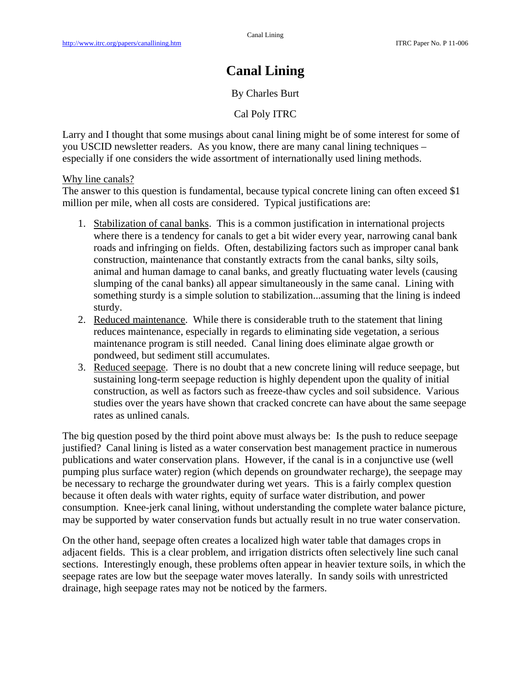## **Canal Lining**

## By Charles Burt

Cal Poly ITRC

Larry and I thought that some musings about canal lining might be of some interest for some of you USCID newsletter readers. As you know, there are many canal lining techniques – especially if one considers the wide assortment of internationally used lining methods.

Why line canals?

The answer to this question is fundamental, because typical concrete lining can often exceed \$1 million per mile, when all costs are considered. Typical justifications are:

- 1. Stabilization of canal banks. This is a common justification in international projects where there is a tendency for canals to get a bit wider every year, narrowing canal bank roads and infringing on fields. Often, destabilizing factors such as improper canal bank construction, maintenance that constantly extracts from the canal banks, silty soils, animal and human damage to canal banks, and greatly fluctuating water levels (causing slumping of the canal banks) all appear simultaneously in the same canal. Lining with something sturdy is a simple solution to stabilization...assuming that the lining is indeed sturdy.
- 2. Reduced maintenance. While there is considerable truth to the statement that lining reduces maintenance, especially in regards to eliminating side vegetation, a serious maintenance program is still needed. Canal lining does eliminate algae growth or pondweed, but sediment still accumulates.
- 3. Reduced seepage. There is no doubt that a new concrete lining will reduce seepage, but sustaining long-term seepage reduction is highly dependent upon the quality of initial construction, as well as factors such as freeze-thaw cycles and soil subsidence. Various studies over the years have shown that cracked concrete can have about the same seepage rates as unlined canals.

The big question posed by the third point above must always be: Is the push to reduce seepage justified? Canal lining is listed as a water conservation best management practice in numerous publications and water conservation plans. However, if the canal is in a conjunctive use (well pumping plus surface water) region (which depends on groundwater recharge), the seepage may be necessary to recharge the groundwater during wet years. This is a fairly complex question because it often deals with water rights, equity of surface water distribution, and power consumption. Knee-jerk canal lining, without understanding the complete water balance picture, may be supported by water conservation funds but actually result in no true water conservation.

On the other hand, seepage often creates a localized high water table that damages crops in adjacent fields. This is a clear problem, and irrigation districts often selectively line such canal sections. Interestingly enough, these problems often appear in heavier texture soils, in which the seepage rates are low but the seepage water moves laterally. In sandy soils with unrestricted drainage, high seepage rates may not be noticed by the farmers.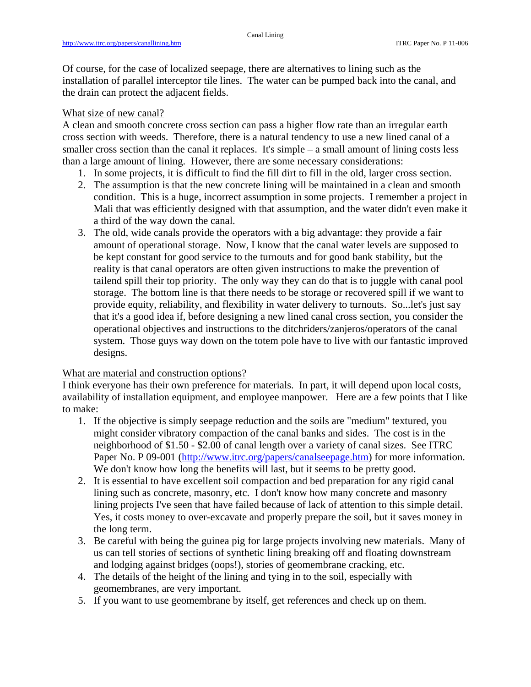Of course, for the case of localized seepage, there are alternatives to lining such as the installation of parallel interceptor tile lines. The water can be pumped back into the canal, and the drain can protect the adjacent fields.

## What size of new canal?

A clean and smooth concrete cross section can pass a higher flow rate than an irregular earth cross section with weeds. Therefore, there is a natural tendency to use a new lined canal of a smaller cross section than the canal it replaces. It's simple – a small amount of lining costs less than a large amount of lining. However, there are some necessary considerations:

- 1. In some projects, it is difficult to find the fill dirt to fill in the old, larger cross section.
- 2. The assumption is that the new concrete lining will be maintained in a clean and smooth condition. This is a huge, incorrect assumption in some projects. I remember a project in Mali that was efficiently designed with that assumption, and the water didn't even make it a third of the way down the canal.
- 3. The old, wide canals provide the operators with a big advantage: they provide a fair amount of operational storage. Now, I know that the canal water levels are supposed to be kept constant for good service to the turnouts and for good bank stability, but the reality is that canal operators are often given instructions to make the prevention of tailend spill their top priority. The only way they can do that is to juggle with canal pool storage. The bottom line is that there needs to be storage or recovered spill if we want to provide equity, reliability, and flexibility in water delivery to turnouts. So...let's just say that it's a good idea if, before designing a new lined canal cross section, you consider the operational objectives and instructions to the ditchriders/zanjeros/operators of the canal system. Those guys way down on the totem pole have to live with our fantastic improved designs.

## What are material and construction options?

I think everyone has their own preference for materials. In part, it will depend upon local costs, availability of installation equipment, and employee manpower. Here are a few points that I like to make:

- 1. If the objective is simply seepage reduction and the soils are "medium" textured, you might consider vibratory compaction of the canal banks and sides. The cost is in the neighborhood of \$1.50 - \$2.00 of canal length over a variety of canal sizes. See ITRC Paper No. P 09-001 (http://www.itrc.org/papers/canalseepage.htm) for more information. We don't know how long the benefits will last, but it seems to be pretty good.
- 2. It is essential to have excellent soil compaction and bed preparation for any rigid canal lining such as concrete, masonry, etc. I don't know how many concrete and masonry lining projects I've seen that have failed because of lack of attention to this simple detail. Yes, it costs money to over-excavate and properly prepare the soil, but it saves money in the long term.
- 3. Be careful with being the guinea pig for large projects involving new materials. Many of us can tell stories of sections of synthetic lining breaking off and floating downstream and lodging against bridges (oops!), stories of geomembrane cracking, etc.
- 4. The details of the height of the lining and tying in to the soil, especially with geomembranes, are very important.
- 5. If you want to use geomembrane by itself, get references and check up on them.